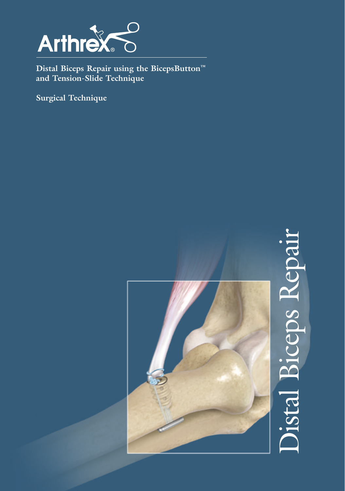

**Distal Biceps Repair using the BicepsButton™ and Tension-Slide Technique**

**Surgical Technique**

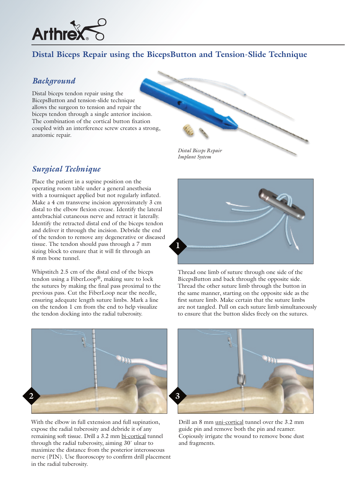

# **Distal Biceps Repair using the BicepsButton and Tension-Slide Technique**

#### *Background*

Distal biceps tendon repair using the BicepsButton and tension-slide technique allows the surgeon to tension and repair the biceps tendon through a single anterior incision. The combination of the cortical button fixation coupled with an interference screw creates a strong, anatomic repair.

## *Surgical Technique*

Place the patient in a supine position on the operating room table under a general anesthesia with a tourniquet applied but not regularly inflated. Make a 4 cm transverse incision approximately 3 cm distal to the elbow flexion crease. Identify the lateral antebrachial cutaneous nerve and retract it laterally. Identify the retracted distal end of the biceps tendon and deliver it through the incision. Debride the end of the tendon to remove any degenerative or diseased tissue. The tendon should pass through a 7 mm sizing block to ensure that it will fit through an 8 mm bone tunnel.

Whipstitch 2.5 cm of the distal end of the biceps tendon using a FiberLoop®, making sure to lock the sutures by making the final pass proximal to the previous pass. Cut the FiberLoop near the needle, ensuring adequate length suture limbs. Mark a line on the tendon 1 cm from the end to help visualize the tendon docking into the radial tuberosity.





Thread one limb of suture through one side of the BicepsButton and back through the opposite side. Thread the other suture limb through the button in the same manner, starting on the opposite side as the first suture limb. Make certain that the suture limbs are not tangled. Pull on each suture limb simultaneously to ensure that the button slides freely on the sutures.



With the elbow in full extension and full supination, expose the radial tuberosity and debride it of any remaining soft tissue. Drill a 3.2 mm bi-cortical tunnel through the radial tuberosity, aiming 30˚ ulnar to maximize the distance from the posterior interosseous nerve (PIN). Use fluoroscopy to confirm drill placement in the radial tuberosity.



Drill an 8 mm uni-cortical tunnel over the 3.2 mm guide pin and remove both the pin and reamer. Copiously irrigate the wound to remove bone dust and fragments.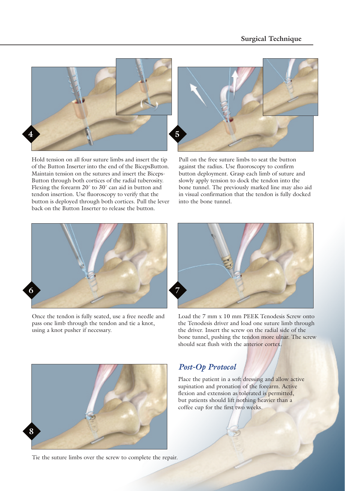

Hold tension on all four suture limbs and insert the tip of the Button Inserter into the end of the BicepsButton. Maintain tension on the sutures and insert the Biceps-Button through both cortices of the radial tuberosity. Flexing the forearm 20˚ to 30˚ can aid in button and tendon insertion. Use fluoroscopy to verify that the button is deployed through both cortices. Pull the lever back on the Button Inserter to release the button.



Pull on the free suture limbs to seat the button against the radius. Use fluoroscopy to confirm button deployment. Grasp each limb of suture and slowly apply tension to dock the tendon into the bone tunnel. The previously marked line may also aid in visual confirmation that the tendon is fully docked into the bone tunnel.



Once the tendon is fully seated, use a free needle and pass one limb through the tendon and tie a knot, using a knot pusher if necessary.



Load the 7 mm x 10 mm PEEK Tenodesis Screw onto the Tenodesis driver and load one suture limb through the driver. Insert the screw on the radial side of the bone tunnel, pushing the tendon more ulnar. The screw should seat flush with the anterior cortex.



Tie the suture limbs over the screw to complete the repair.

# *Post-Op Protocol*

Place the patient in a soft dressing and allow active supination and pronation of the forearm. Active flexion and extension as tolerated is permitted, but patients should lift nothing heavier than a coffee cup for the first two weeks.